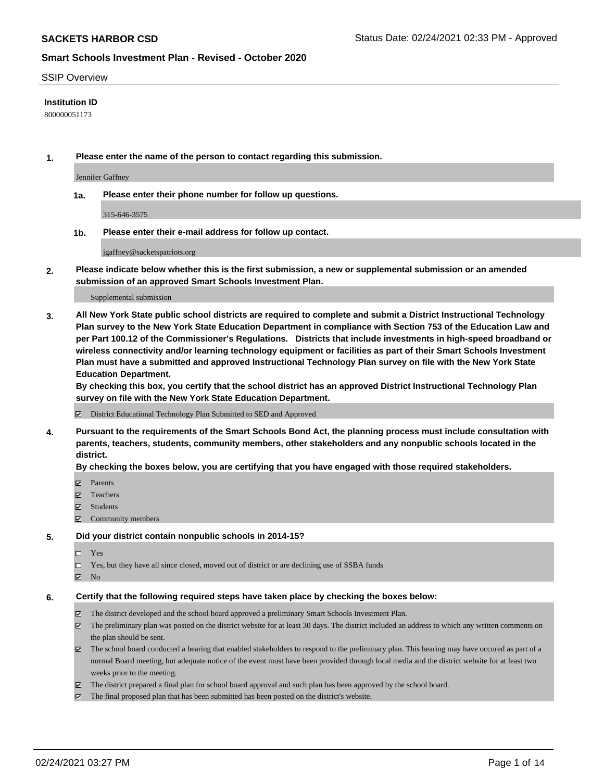### SSIP Overview

### **Institution ID**

800000051173

**1. Please enter the name of the person to contact regarding this submission.**

Jennifer Gaffney

**1a. Please enter their phone number for follow up questions.**

315-646-3575

**1b. Please enter their e-mail address for follow up contact.**

jgaffney@sacketspatriots.org

**2. Please indicate below whether this is the first submission, a new or supplemental submission or an amended submission of an approved Smart Schools Investment Plan.**

#### Supplemental submission

**3. All New York State public school districts are required to complete and submit a District Instructional Technology Plan survey to the New York State Education Department in compliance with Section 753 of the Education Law and per Part 100.12 of the Commissioner's Regulations. Districts that include investments in high-speed broadband or wireless connectivity and/or learning technology equipment or facilities as part of their Smart Schools Investment Plan must have a submitted and approved Instructional Technology Plan survey on file with the New York State Education Department.** 

**By checking this box, you certify that the school district has an approved District Instructional Technology Plan survey on file with the New York State Education Department.**

District Educational Technology Plan Submitted to SED and Approved

**4. Pursuant to the requirements of the Smart Schools Bond Act, the planning process must include consultation with parents, teachers, students, community members, other stakeholders and any nonpublic schools located in the district.** 

### **By checking the boxes below, you are certifying that you have engaged with those required stakeholders.**

- **□** Parents
- Teachers
- Students
- Community members

#### **5. Did your district contain nonpublic schools in 2014-15?**

- □ Yes
- □ Yes, but they have all since closed, moved out of district or are declining use of SSBA funds
- **Ø** No

### **6. Certify that the following required steps have taken place by checking the boxes below:**

- The district developed and the school board approved a preliminary Smart Schools Investment Plan.
- The preliminary plan was posted on the district website for at least 30 days. The district included an address to which any written comments on the plan should be sent.
- The school board conducted a hearing that enabled stakeholders to respond to the preliminary plan. This hearing may have occured as part of a normal Board meeting, but adequate notice of the event must have been provided through local media and the district website for at least two weeks prior to the meeting.
- The district prepared a final plan for school board approval and such plan has been approved by the school board.
- $\boxtimes$  The final proposed plan that has been submitted has been posted on the district's website.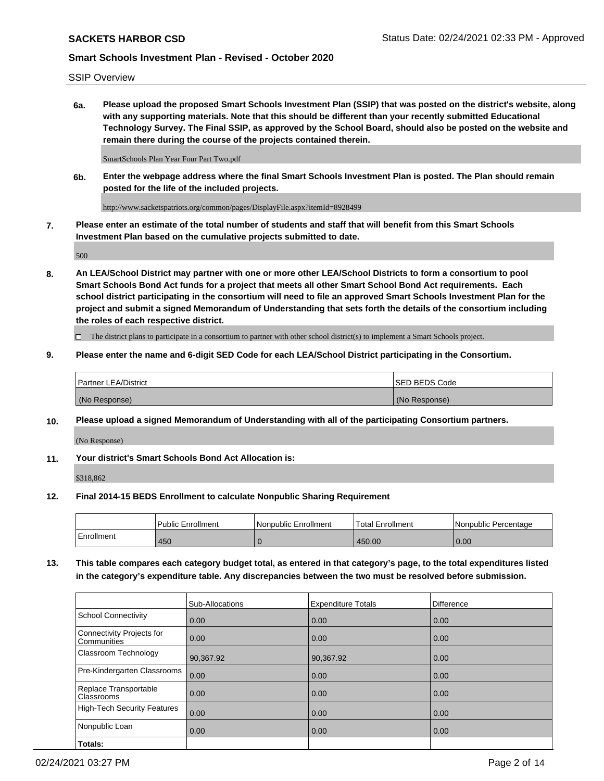SSIP Overview

**6a. Please upload the proposed Smart Schools Investment Plan (SSIP) that was posted on the district's website, along with any supporting materials. Note that this should be different than your recently submitted Educational Technology Survey. The Final SSIP, as approved by the School Board, should also be posted on the website and remain there during the course of the projects contained therein.**

SmartSchools Plan Year Four Part Two.pdf

**6b. Enter the webpage address where the final Smart Schools Investment Plan is posted. The Plan should remain posted for the life of the included projects.**

http://www.sacketspatriots.org/common/pages/DisplayFile.aspx?itemId=8928499

**7. Please enter an estimate of the total number of students and staff that will benefit from this Smart Schools Investment Plan based on the cumulative projects submitted to date.**

500

**8. An LEA/School District may partner with one or more other LEA/School Districts to form a consortium to pool Smart Schools Bond Act funds for a project that meets all other Smart School Bond Act requirements. Each school district participating in the consortium will need to file an approved Smart Schools Investment Plan for the project and submit a signed Memorandum of Understanding that sets forth the details of the consortium including the roles of each respective district.**

 $\Box$  The district plans to participate in a consortium to partner with other school district(s) to implement a Smart Schools project.

## **9. Please enter the name and 6-digit SED Code for each LEA/School District participating in the Consortium.**

| Partner LEA/District | <b>ISED BEDS Code</b> |
|----------------------|-----------------------|
| (No Response)        | (No Response)         |

## **10. Please upload a signed Memorandum of Understanding with all of the participating Consortium partners.**

(No Response)

**11. Your district's Smart Schools Bond Act Allocation is:**

\$318,862

## **12. Final 2014-15 BEDS Enrollment to calculate Nonpublic Sharing Requirement**

|            | <b>Public Enrollment</b> | Nonpublic Enrollment | <b>Total Enrollment</b> | l Nonpublic Percentage |
|------------|--------------------------|----------------------|-------------------------|------------------------|
| Enrollment | 450                      |                      | 450.00                  | 0.00                   |

**13. This table compares each category budget total, as entered in that category's page, to the total expenditures listed in the category's expenditure table. Any discrepancies between the two must be resolved before submission.**

|                                          | Sub-Allocations | <b>Expenditure Totals</b> | <b>Difference</b> |
|------------------------------------------|-----------------|---------------------------|-------------------|
| <b>School Connectivity</b>               | 0.00            | 0.00                      | 0.00              |
| Connectivity Projects for<br>Communities | 0.00            | 0.00                      | 0.00              |
| Classroom Technology                     | 90,367.92       | 90,367.92                 | 0.00              |
| Pre-Kindergarten Classrooms              | 0.00            | 0.00                      | 0.00              |
| Replace Transportable<br>Classrooms      | 0.00            | 0.00                      | 0.00              |
| High-Tech Security Features              | 0.00            | 0.00                      | 0.00              |
| Nonpublic Loan                           | 0.00            | 0.00                      | 0.00              |
| Totals:                                  |                 |                           |                   |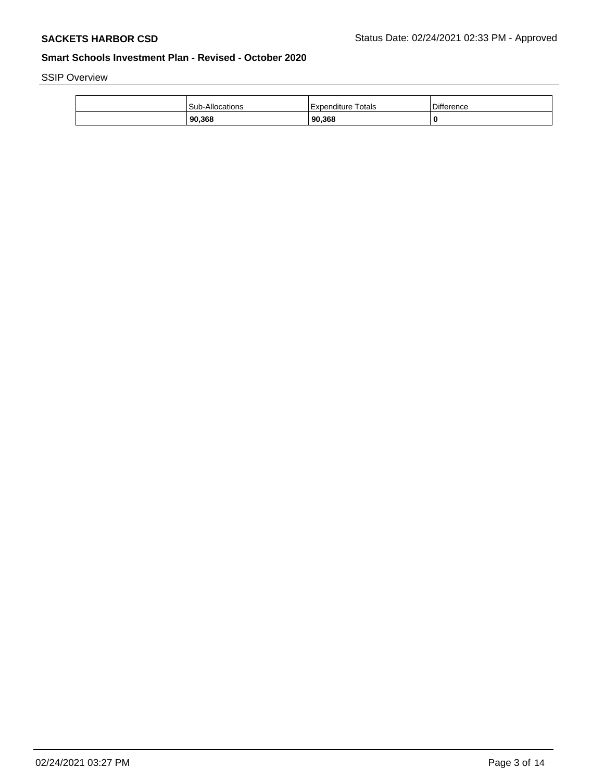SSIP Overview

| Sub-Allocations | Totals<br>l Expenditure | <b>Difference</b> |
|-----------------|-------------------------|-------------------|
| 90,368          | 90,368                  | 0                 |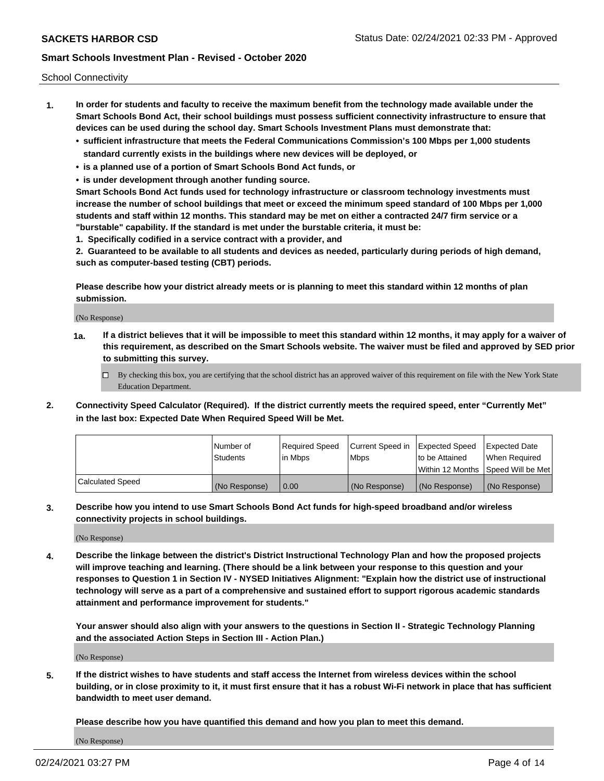School Connectivity

- **1. In order for students and faculty to receive the maximum benefit from the technology made available under the Smart Schools Bond Act, their school buildings must possess sufficient connectivity infrastructure to ensure that devices can be used during the school day. Smart Schools Investment Plans must demonstrate that:**
	- **• sufficient infrastructure that meets the Federal Communications Commission's 100 Mbps per 1,000 students standard currently exists in the buildings where new devices will be deployed, or**
	- **• is a planned use of a portion of Smart Schools Bond Act funds, or**
	- **• is under development through another funding source.**

**Smart Schools Bond Act funds used for technology infrastructure or classroom technology investments must increase the number of school buildings that meet or exceed the minimum speed standard of 100 Mbps per 1,000 students and staff within 12 months. This standard may be met on either a contracted 24/7 firm service or a "burstable" capability. If the standard is met under the burstable criteria, it must be:**

**1. Specifically codified in a service contract with a provider, and**

**2. Guaranteed to be available to all students and devices as needed, particularly during periods of high demand, such as computer-based testing (CBT) periods.**

**Please describe how your district already meets or is planning to meet this standard within 12 months of plan submission.**

(No Response)

**1a. If a district believes that it will be impossible to meet this standard within 12 months, it may apply for a waiver of this requirement, as described on the Smart Schools website. The waiver must be filed and approved by SED prior to submitting this survey.**

 $\Box$  By checking this box, you are certifying that the school district has an approved waiver of this requirement on file with the New York State Education Department.

**2. Connectivity Speed Calculator (Required). If the district currently meets the required speed, enter "Currently Met" in the last box: Expected Date When Required Speed Will be Met.**

|                  | l Number of     | Required Speed | Current Speed in | Expected Speed  | Expected Date                           |
|------------------|-----------------|----------------|------------------|-----------------|-----------------------------------------|
|                  | <b>Students</b> | In Mbps        | l Mbps           | to be Attained  | When Required                           |
|                  |                 |                |                  |                 | l Within 12 Months ISpeed Will be Met l |
| Calculated Speed | (No Response)   | 0.00           | (No Response)    | l (No Response) | l (No Response)                         |

**3. Describe how you intend to use Smart Schools Bond Act funds for high-speed broadband and/or wireless connectivity projects in school buildings.**

(No Response)

**4. Describe the linkage between the district's District Instructional Technology Plan and how the proposed projects will improve teaching and learning. (There should be a link between your response to this question and your responses to Question 1 in Section IV - NYSED Initiatives Alignment: "Explain how the district use of instructional technology will serve as a part of a comprehensive and sustained effort to support rigorous academic standards attainment and performance improvement for students."** 

**Your answer should also align with your answers to the questions in Section II - Strategic Technology Planning and the associated Action Steps in Section III - Action Plan.)**

(No Response)

**5. If the district wishes to have students and staff access the Internet from wireless devices within the school building, or in close proximity to it, it must first ensure that it has a robust Wi-Fi network in place that has sufficient bandwidth to meet user demand.**

**Please describe how you have quantified this demand and how you plan to meet this demand.**

(No Response)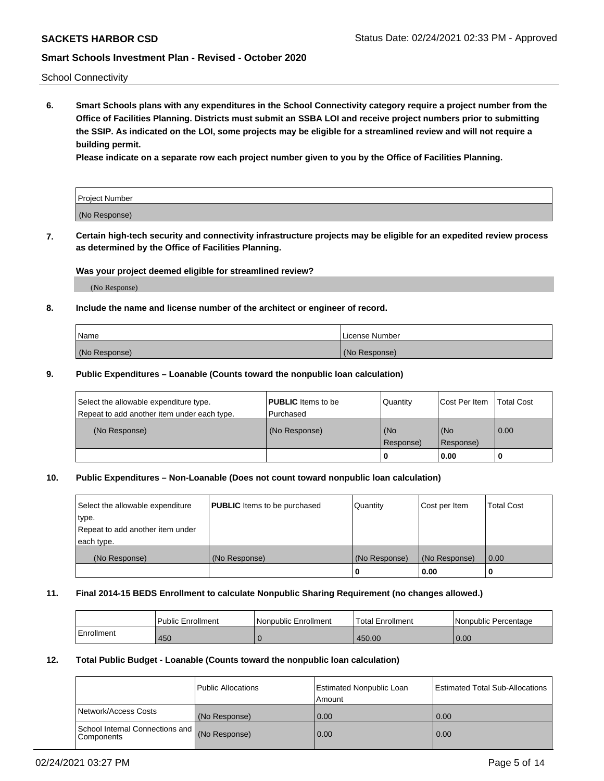School Connectivity

**6. Smart Schools plans with any expenditures in the School Connectivity category require a project number from the Office of Facilities Planning. Districts must submit an SSBA LOI and receive project numbers prior to submitting the SSIP. As indicated on the LOI, some projects may be eligible for a streamlined review and will not require a building permit.**

**Please indicate on a separate row each project number given to you by the Office of Facilities Planning.**

| Project Number |  |
|----------------|--|
| (No Response)  |  |

**7. Certain high-tech security and connectivity infrastructure projects may be eligible for an expedited review process as determined by the Office of Facilities Planning.**

### **Was your project deemed eligible for streamlined review?**

(No Response)

## **8. Include the name and license number of the architect or engineer of record.**

| Name          | License Number |
|---------------|----------------|
| (No Response) | (No Response)  |

### **9. Public Expenditures – Loanable (Counts toward the nonpublic loan calculation)**

| Select the allowable expenditure type.<br>Repeat to add another item under each type. | <b>PUBLIC</b> Items to be<br>l Purchased | Quantity           | Cost Per Item    | <b>Total Cost</b> |
|---------------------------------------------------------------------------------------|------------------------------------------|--------------------|------------------|-------------------|
| (No Response)                                                                         | (No Response)                            | l (No<br>Response) | (No<br>Response) | $\overline{0.00}$ |
|                                                                                       |                                          | 0                  | 0.00             |                   |

# **10. Public Expenditures – Non-Loanable (Does not count toward nonpublic loan calculation)**

| Select the allowable expenditure | <b>PUBLIC</b> Items to be purchased | Quantity      | Cost per Item | <b>Total Cost</b> |
|----------------------------------|-------------------------------------|---------------|---------------|-------------------|
| type.                            |                                     |               |               |                   |
| Repeat to add another item under |                                     |               |               |                   |
| each type.                       |                                     |               |               |                   |
| (No Response)                    | (No Response)                       | (No Response) | (No Response) | 0.00              |
|                                  |                                     |               | 0.00          |                   |

#### **11. Final 2014-15 BEDS Enrollment to calculate Nonpublic Sharing Requirement (no changes allowed.)**

|            | Public Enrollment | l Nonpublic Enrollment | <b>Total Enrollment</b> | Nonpublic Percentage |
|------------|-------------------|------------------------|-------------------------|----------------------|
| Enrollment | 450               |                        | 450.00                  | 0.00                 |

### **12. Total Public Budget - Loanable (Counts toward the nonpublic loan calculation)**

|                                                      | Public Allocations | <b>Estimated Nonpublic Loan</b><br>Amount | Estimated Total Sub-Allocations |
|------------------------------------------------------|--------------------|-------------------------------------------|---------------------------------|
| Network/Access Costs                                 | (No Response)      | 0.00                                      | 0.00                            |
| School Internal Connections and<br><b>Components</b> | (No Response)      | 0.00                                      | 0.00                            |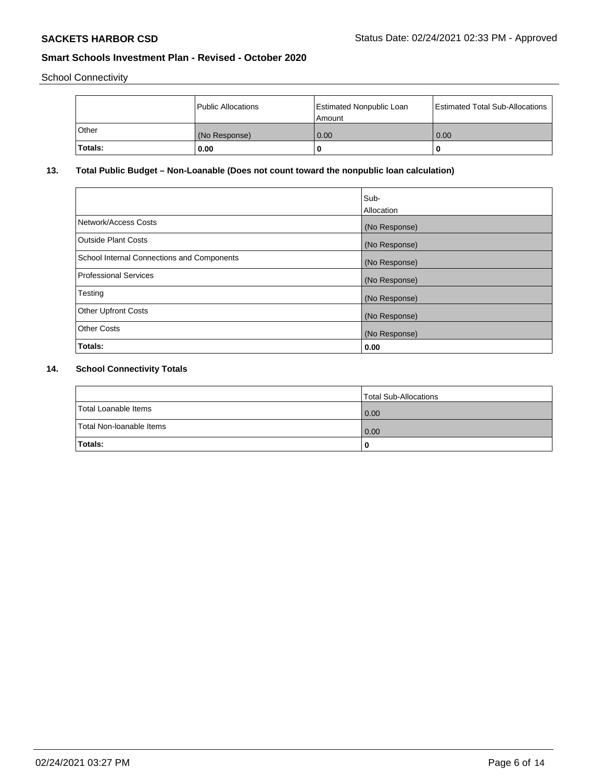School Connectivity

|              | Public Allocations | <b>Estimated Nonpublic Loan</b><br>Amount | <b>Estimated Total Sub-Allocations</b> |
|--------------|--------------------|-------------------------------------------|----------------------------------------|
| <b>Other</b> | (No Response)      | 0.00                                      | 0.00                                   |
| Totals:      | 0.00               |                                           | 0                                      |

# **13. Total Public Budget – Non-Loanable (Does not count toward the nonpublic loan calculation)**

|                                                   | Sub-<br>Allocation |
|---------------------------------------------------|--------------------|
| Network/Access Costs                              | (No Response)      |
| <b>Outside Plant Costs</b>                        | (No Response)      |
| <b>School Internal Connections and Components</b> | (No Response)      |
| Professional Services                             | (No Response)      |
| Testing                                           | (No Response)      |
| <b>Other Upfront Costs</b>                        | (No Response)      |
| <b>Other Costs</b>                                | (No Response)      |
| Totals:                                           | 0.00               |

# **14. School Connectivity Totals**

|                          | Total Sub-Allocations |
|--------------------------|-----------------------|
| Total Loanable Items     | 0.00                  |
| Total Non-Ioanable Items | 0.00                  |
| Totals:                  | 0                     |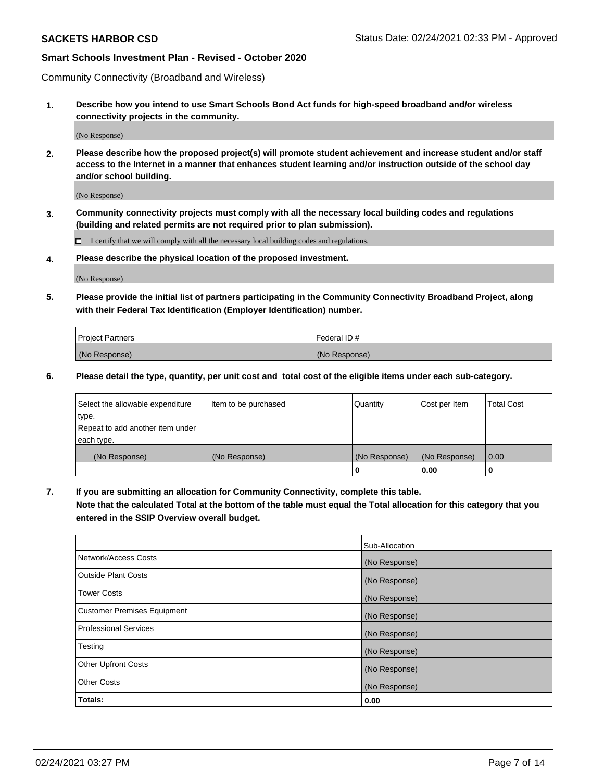Community Connectivity (Broadband and Wireless)

**1. Describe how you intend to use Smart Schools Bond Act funds for high-speed broadband and/or wireless connectivity projects in the community.**

(No Response)

**2. Please describe how the proposed project(s) will promote student achievement and increase student and/or staff access to the Internet in a manner that enhances student learning and/or instruction outside of the school day and/or school building.**

(No Response)

**3. Community connectivity projects must comply with all the necessary local building codes and regulations (building and related permits are not required prior to plan submission).**

 $\Box$  I certify that we will comply with all the necessary local building codes and regulations.

**4. Please describe the physical location of the proposed investment.**

(No Response)

**5. Please provide the initial list of partners participating in the Community Connectivity Broadband Project, along with their Federal Tax Identification (Employer Identification) number.**

| <b>Project Partners</b> | l Federal ID # |
|-------------------------|----------------|
| (No Response)           | (No Response)  |

**6. Please detail the type, quantity, per unit cost and total cost of the eligible items under each sub-category.**

| Select the allowable expenditure | Item to be purchased | Quantity      | Cost per Item | <b>Total Cost</b> |
|----------------------------------|----------------------|---------------|---------------|-------------------|
| type.                            |                      |               |               |                   |
| Repeat to add another item under |                      |               |               |                   |
| each type.                       |                      |               |               |                   |
| (No Response)                    | (No Response)        | (No Response) | (No Response) | 0.00              |
|                                  |                      | U             | 0.00          |                   |

**7. If you are submitting an allocation for Community Connectivity, complete this table.**

**Note that the calculated Total at the bottom of the table must equal the Total allocation for this category that you entered in the SSIP Overview overall budget.**

|                                    | Sub-Allocation |
|------------------------------------|----------------|
| Network/Access Costs               | (No Response)  |
| Outside Plant Costs                | (No Response)  |
| <b>Tower Costs</b>                 | (No Response)  |
| <b>Customer Premises Equipment</b> | (No Response)  |
| <b>Professional Services</b>       | (No Response)  |
| Testing                            | (No Response)  |
| <b>Other Upfront Costs</b>         | (No Response)  |
| <b>Other Costs</b>                 | (No Response)  |
| Totals:                            | 0.00           |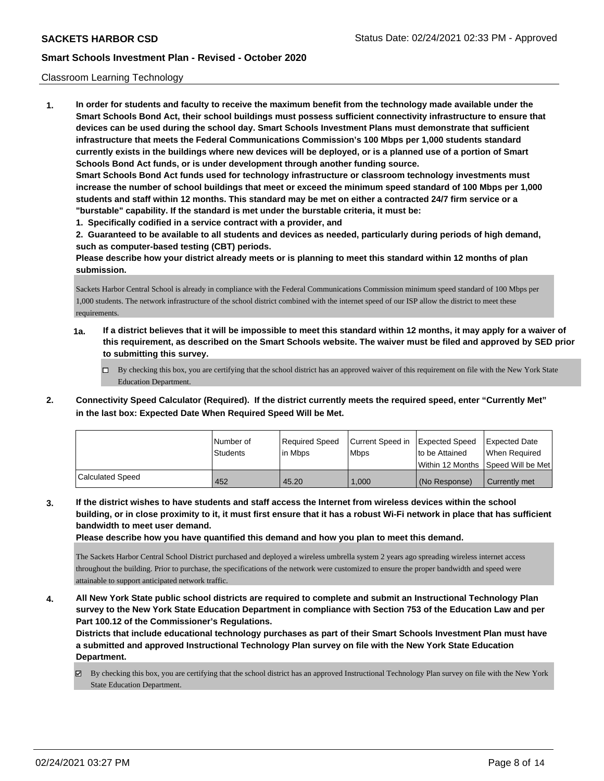### Classroom Learning Technology

**1. In order for students and faculty to receive the maximum benefit from the technology made available under the Smart Schools Bond Act, their school buildings must possess sufficient connectivity infrastructure to ensure that devices can be used during the school day. Smart Schools Investment Plans must demonstrate that sufficient infrastructure that meets the Federal Communications Commission's 100 Mbps per 1,000 students standard currently exists in the buildings where new devices will be deployed, or is a planned use of a portion of Smart Schools Bond Act funds, or is under development through another funding source. Smart Schools Bond Act funds used for technology infrastructure or classroom technology investments must increase the number of school buildings that meet or exceed the minimum speed standard of 100 Mbps per 1,000 students and staff within 12 months. This standard may be met on either a contracted 24/7 firm service or a "burstable" capability. If the standard is met under the burstable criteria, it must be:**

**1. Specifically codified in a service contract with a provider, and**

**2. Guaranteed to be available to all students and devices as needed, particularly during periods of high demand, such as computer-based testing (CBT) periods.**

**Please describe how your district already meets or is planning to meet this standard within 12 months of plan submission.**

Sackets Harbor Central School is already in compliance with the Federal Communications Commission minimum speed standard of 100 Mbps per 1,000 students. The network infrastructure of the school district combined with the internet speed of our ISP allow the district to meet these requirements.

- **1a. If a district believes that it will be impossible to meet this standard within 12 months, it may apply for a waiver of this requirement, as described on the Smart Schools website. The waiver must be filed and approved by SED prior to submitting this survey.**
	- By checking this box, you are certifying that the school district has an approved waiver of this requirement on file with the New York State Education Department.
- **2. Connectivity Speed Calculator (Required). If the district currently meets the required speed, enter "Currently Met" in the last box: Expected Date When Required Speed Will be Met.**

|                  | l Number of     | Required Speed | Current Speed in | Expected Speed     | <b>Expected Date</b> |
|------------------|-----------------|----------------|------------------|--------------------|----------------------|
|                  | <b>Students</b> | lin Mbps       | <b>Mbps</b>      | to be Attained     | When Reauired        |
|                  |                 |                |                  | l Within 12 Months | Speed Will be Met    |
| Calculated Speed | 452             | 45.20          | 1.000            | (No Response)      | Currently met        |

**3. If the district wishes to have students and staff access the Internet from wireless devices within the school building, or in close proximity to it, it must first ensure that it has a robust Wi-Fi network in place that has sufficient bandwidth to meet user demand.**

**Please describe how you have quantified this demand and how you plan to meet this demand.**

The Sackets Harbor Central School District purchased and deployed a wireless umbrella system 2 years ago spreading wireless internet access throughout the building. Prior to purchase, the specifications of the network were customized to ensure the proper bandwidth and speed were attainable to support anticipated network traffic.

**4. All New York State public school districts are required to complete and submit an Instructional Technology Plan survey to the New York State Education Department in compliance with Section 753 of the Education Law and per Part 100.12 of the Commissioner's Regulations.**

**Districts that include educational technology purchases as part of their Smart Schools Investment Plan must have a submitted and approved Instructional Technology Plan survey on file with the New York State Education Department.**

By checking this box, you are certifying that the school district has an approved Instructional Technology Plan survey on file with the New York State Education Department.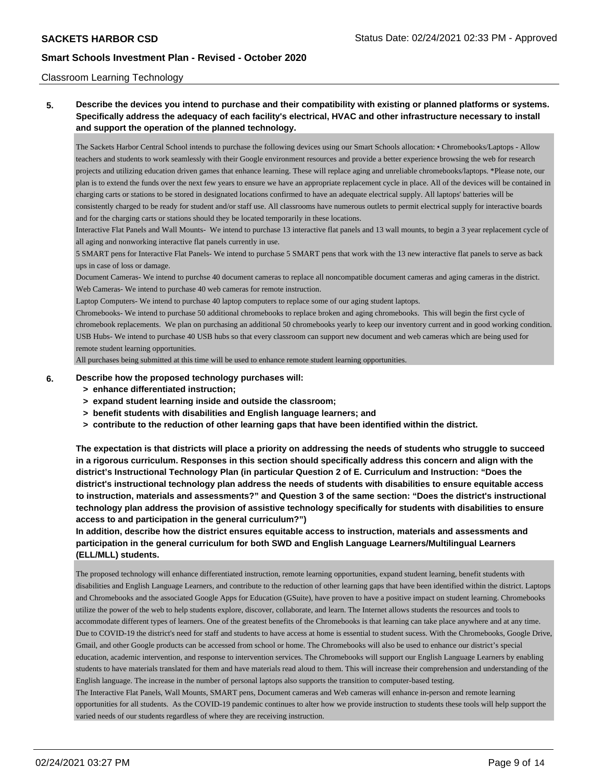### Classroom Learning Technology

# **5. Describe the devices you intend to purchase and their compatibility with existing or planned platforms or systems. Specifically address the adequacy of each facility's electrical, HVAC and other infrastructure necessary to install and support the operation of the planned technology.**

The Sackets Harbor Central School intends to purchase the following devices using our Smart Schools allocation: • Chromebooks/Laptops - Allow teachers and students to work seamlessly with their Google environment resources and provide a better experience browsing the web for research projects and utilizing education driven games that enhance learning. These will replace aging and unreliable chromebooks/laptops. \*Please note, our plan is to extend the funds over the next few years to ensure we have an appropriate replacement cycle in place. All of the devices will be contained in charging carts or stations to be stored in designated locations confirmed to have an adequate electrical supply. All laptops' batteries will be consistently charged to be ready for student and/or staff use. All classrooms have numerous outlets to permit electrical supply for interactive boards and for the charging carts or stations should they be located temporarily in these locations.

Interactive Flat Panels and Wall Mounts- We intend to purchase 13 interactive flat panels and 13 wall mounts, to begin a 3 year replacement cycle of all aging and nonworking interactive flat panels currently in use.

5 SMART pens for Interactive Flat Panels- We intend to purchase 5 SMART pens that work with the 13 new interactive flat panels to serve as back ups in case of loss or damage.

Document Cameras- We intend to purchse 40 document cameras to replace all noncompatible document cameras and aging cameras in the district. Web Cameras- We intend to purchase 40 web cameras for remote instruction.

Laptop Computers- We intend to purchase 40 laptop computers to replace some of our aging student laptops.

Chromebooks- We intend to purchase 50 additional chromebooks to replace broken and aging chromebooks. This will begin the first cycle of chromebook replacements. We plan on purchasing an additional 50 chromebooks yearly to keep our inventory current and in good working condition. USB Hubs- We intend to purchase 40 USB hubs so that every classroom can support new document and web cameras which are being used for remote student learning opportunities.

All purchases being submitted at this time will be used to enhance remote student learning opportunities.

#### **6. Describe how the proposed technology purchases will:**

- **> enhance differentiated instruction;**
- **> expand student learning inside and outside the classroom;**
- **> benefit students with disabilities and English language learners; and**
- **> contribute to the reduction of other learning gaps that have been identified within the district.**

**The expectation is that districts will place a priority on addressing the needs of students who struggle to succeed in a rigorous curriculum. Responses in this section should specifically address this concern and align with the district's Instructional Technology Plan (in particular Question 2 of E. Curriculum and Instruction: "Does the district's instructional technology plan address the needs of students with disabilities to ensure equitable access to instruction, materials and assessments?" and Question 3 of the same section: "Does the district's instructional technology plan address the provision of assistive technology specifically for students with disabilities to ensure access to and participation in the general curriculum?")**

**In addition, describe how the district ensures equitable access to instruction, materials and assessments and participation in the general curriculum for both SWD and English Language Learners/Multilingual Learners (ELL/MLL) students.**

The proposed technology will enhance differentiated instruction, remote learning opportunities, expand student learning, benefit students with disabilities and English Language Learners, and contribute to the reduction of other learning gaps that have been identified within the district. Laptops and Chromebooks and the associated Google Apps for Education (GSuite), have proven to have a positive impact on student learning. Chromebooks utilize the power of the web to help students explore, discover, collaborate, and learn. The Internet allows students the resources and tools to accommodate different types of learners. One of the greatest benefits of the Chromebooks is that learning can take place anywhere and at any time. Due to COVID-19 the district's need for staff and students to have access at home is essential to student sucess. With the Chromebooks, Google Drive, Gmail, and other Google products can be accessed from school or home. The Chromebooks will also be used to enhance our district's special education, academic intervention, and response to intervention services. The Chromebooks will support our English Language Learners by enabling students to have materials translated for them and have materials read aloud to them. This will increase their comprehension and understanding of the English language. The increase in the number of personal laptops also supports the transition to computer-based testing. The Interactive Flat Panels, Wall Mounts, SMART pens, Document cameras and Web cameras will enhance in-person and remote learning

opportunities for all students. As the COVID-19 pandemic continues to alter how we provide instruction to students these tools will help support the varied needs of our students regardless of where they are receiving instruction.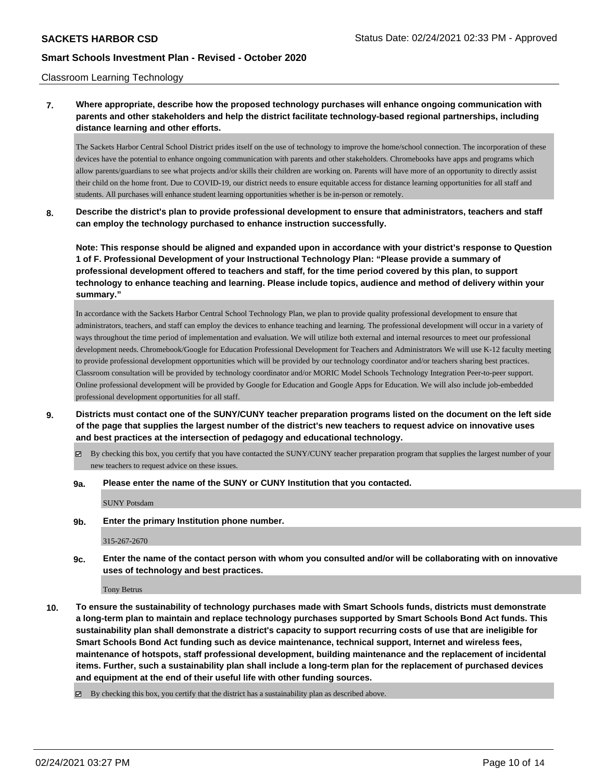### Classroom Learning Technology

**7. Where appropriate, describe how the proposed technology purchases will enhance ongoing communication with parents and other stakeholders and help the district facilitate technology-based regional partnerships, including distance learning and other efforts.**

The Sackets Harbor Central School District prides itself on the use of technology to improve the home/school connection. The incorporation of these devices have the potential to enhance ongoing communication with parents and other stakeholders. Chromebooks have apps and programs which allow parents/guardians to see what projects and/or skills their children are working on. Parents will have more of an opportunity to directly assist their child on the home front. Due to COVID-19, our district needs to ensure equitable access for distance learning opportunities for all staff and students. All purchases will enhance student learning opportunities whether is be in-person or remotely.

**8. Describe the district's plan to provide professional development to ensure that administrators, teachers and staff can employ the technology purchased to enhance instruction successfully.**

**Note: This response should be aligned and expanded upon in accordance with your district's response to Question 1 of F. Professional Development of your Instructional Technology Plan: "Please provide a summary of professional development offered to teachers and staff, for the time period covered by this plan, to support technology to enhance teaching and learning. Please include topics, audience and method of delivery within your summary."**

In accordance with the Sackets Harbor Central School Technology Plan, we plan to provide quality professional development to ensure that administrators, teachers, and staff can employ the devices to enhance teaching and learning. The professional development will occur in a variety of ways throughout the time period of implementation and evaluation. We will utilize both external and internal resources to meet our professional development needs. Chromebook/Google for Education Professional Development for Teachers and Administrators We will use K-12 faculty meeting to provide professional development opportunities which will be provided by our technology coordinator and/or teachers sharing best practices. Classroom consultation will be provided by technology coordinator and/or MORIC Model Schools Technology Integration Peer-to-peer support. Online professional development will be provided by Google for Education and Google Apps for Education. We will also include job-embedded professional development opportunities for all staff.

- **9. Districts must contact one of the SUNY/CUNY teacher preparation programs listed on the document on the left side of the page that supplies the largest number of the district's new teachers to request advice on innovative uses and best practices at the intersection of pedagogy and educational technology.**
	- $\boxtimes$  By checking this box, you certify that you have contacted the SUNY/CUNY teacher preparation program that supplies the largest number of your new teachers to request advice on these issues.
	- **9a. Please enter the name of the SUNY or CUNY Institution that you contacted.**

SUNY Potsdam

**9b. Enter the primary Institution phone number.**

315-267-2670

**9c. Enter the name of the contact person with whom you consulted and/or will be collaborating with on innovative uses of technology and best practices.**

Tony Betrus

**10. To ensure the sustainability of technology purchases made with Smart Schools funds, districts must demonstrate a long-term plan to maintain and replace technology purchases supported by Smart Schools Bond Act funds. This sustainability plan shall demonstrate a district's capacity to support recurring costs of use that are ineligible for Smart Schools Bond Act funding such as device maintenance, technical support, Internet and wireless fees, maintenance of hotspots, staff professional development, building maintenance and the replacement of incidental items. Further, such a sustainability plan shall include a long-term plan for the replacement of purchased devices and equipment at the end of their useful life with other funding sources.**

By checking this box, you certify that the district has a sustainability plan as described above.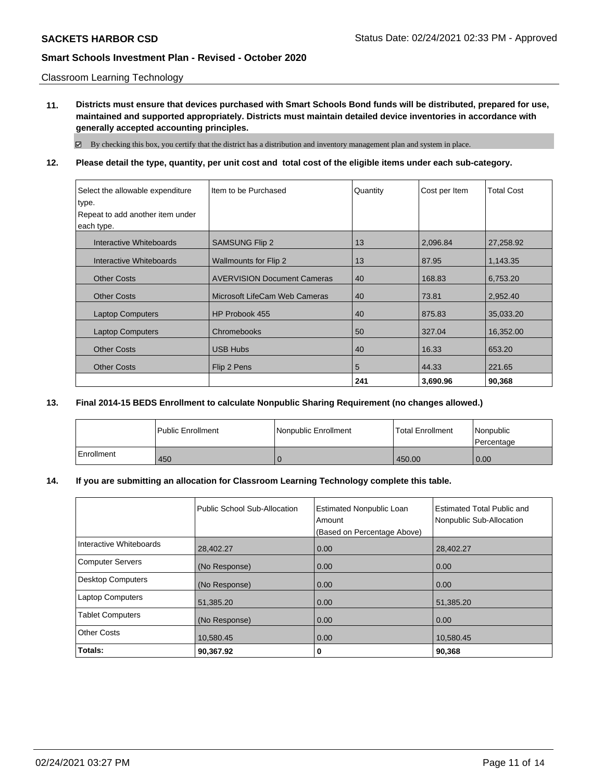Classroom Learning Technology

**11. Districts must ensure that devices purchased with Smart Schools Bond funds will be distributed, prepared for use, maintained and supported appropriately. Districts must maintain detailed device inventories in accordance with generally accepted accounting principles.**

By checking this box, you certify that the district has a distribution and inventory management plan and system in place.

**12. Please detail the type, quantity, per unit cost and total cost of the eligible items under each sub-category.**

| Select the allowable expenditure | Item to be Purchased               | Quantity | Cost per Item | <b>Total Cost</b> |
|----------------------------------|------------------------------------|----------|---------------|-------------------|
| type.                            |                                    |          |               |                   |
| Repeat to add another item under |                                    |          |               |                   |
| each type.                       |                                    |          |               |                   |
| Interactive Whiteboards          | <b>SAMSUNG Flip 2</b>              | 13       | 2,096.84      | 27,258.92         |
| Interactive Whiteboards          | <b>Wallmounts for Flip 2</b>       | 13       | 87.95         | 1,143.35          |
| <b>Other Costs</b>               | <b>AVERVISION Document Cameras</b> | 40       | 168.83        | 6,753.20          |
| <b>Other Costs</b>               | Microsoft LifeCam Web Cameras      | 40       | 73.81         | 2,952.40          |
| <b>Laptop Computers</b>          | HP Probook 455                     | 40       | 875.83        | 35,033.20         |
| <b>Laptop Computers</b>          | Chromebooks                        | 50       | 327.04        | 16,352.00         |
| <b>Other Costs</b>               | <b>USB Hubs</b>                    | 40       | 16.33         | 653.20            |
| <b>Other Costs</b>               | Flip 2 Pens                        | 5        | 44.33         | 221.65            |
|                                  |                                    | 241      | 3,690.96      | 90,368            |

## **13. Final 2014-15 BEDS Enrollment to calculate Nonpublic Sharing Requirement (no changes allowed.)**

|            | l Public Enrollment | Nonpublic Enrollment | Total Enrollment | Nonpublic<br>l Percentage |
|------------|---------------------|----------------------|------------------|---------------------------|
| Enrollment | 450                 |                      | 450.00           | 0.00                      |

### **14. If you are submitting an allocation for Classroom Learning Technology complete this table.**

|                          | Public School Sub-Allocation | <b>Estimated Nonpublic Loan</b><br>Amount<br>(Based on Percentage Above) | <b>Estimated Total Public and</b><br>Nonpublic Sub-Allocation |
|--------------------------|------------------------------|--------------------------------------------------------------------------|---------------------------------------------------------------|
| Interactive Whiteboards  | 28,402.27                    | 0.00                                                                     | 28,402.27                                                     |
| <b>Computer Servers</b>  | (No Response)                | 0.00                                                                     | 0.00                                                          |
| <b>Desktop Computers</b> | (No Response)                | 0.00                                                                     | 0.00                                                          |
| <b>Laptop Computers</b>  | 51,385.20                    | 0.00                                                                     | 51,385.20                                                     |
| <b>Tablet Computers</b>  | (No Response)                | 0.00                                                                     | 0.00                                                          |
| <b>Other Costs</b>       | 10,580.45                    | 0.00                                                                     | 10,580.45                                                     |
| Totals:                  | 90,367.92                    | 0                                                                        | 90,368                                                        |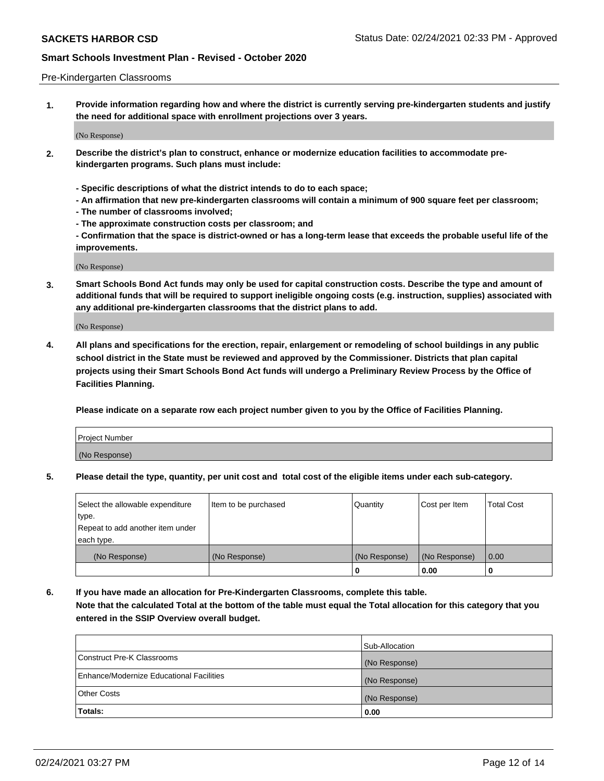### Pre-Kindergarten Classrooms

**1. Provide information regarding how and where the district is currently serving pre-kindergarten students and justify the need for additional space with enrollment projections over 3 years.**

(No Response)

- **2. Describe the district's plan to construct, enhance or modernize education facilities to accommodate prekindergarten programs. Such plans must include:**
	- **Specific descriptions of what the district intends to do to each space;**
	- **An affirmation that new pre-kindergarten classrooms will contain a minimum of 900 square feet per classroom;**
	- **The number of classrooms involved;**
	- **The approximate construction costs per classroom; and**
	- **Confirmation that the space is district-owned or has a long-term lease that exceeds the probable useful life of the improvements.**

(No Response)

**3. Smart Schools Bond Act funds may only be used for capital construction costs. Describe the type and amount of additional funds that will be required to support ineligible ongoing costs (e.g. instruction, supplies) associated with any additional pre-kindergarten classrooms that the district plans to add.**

(No Response)

**4. All plans and specifications for the erection, repair, enlargement or remodeling of school buildings in any public school district in the State must be reviewed and approved by the Commissioner. Districts that plan capital projects using their Smart Schools Bond Act funds will undergo a Preliminary Review Process by the Office of Facilities Planning.**

**Please indicate on a separate row each project number given to you by the Office of Facilities Planning.**

| Project Number |  |
|----------------|--|
| (No Response)  |  |
|                |  |

**5. Please detail the type, quantity, per unit cost and total cost of the eligible items under each sub-category.**

| Select the allowable expenditure | Item to be purchased | Quantity      | Cost per Item | <b>Total Cost</b> |
|----------------------------------|----------------------|---------------|---------------|-------------------|
| type.                            |                      |               |               |                   |
| Repeat to add another item under |                      |               |               |                   |
| each type.                       |                      |               |               |                   |
| (No Response)                    | (No Response)        | (No Response) | (No Response) | 0.00              |
|                                  |                      | υ             | 0.00          |                   |

**6. If you have made an allocation for Pre-Kindergarten Classrooms, complete this table. Note that the calculated Total at the bottom of the table must equal the Total allocation for this category that you entered in the SSIP Overview overall budget.**

| Totals:                                  | 0.00           |
|------------------------------------------|----------------|
| <b>Other Costs</b>                       | (No Response)  |
| Enhance/Modernize Educational Facilities | (No Response)  |
| Construct Pre-K Classrooms               | (No Response)  |
|                                          | Sub-Allocation |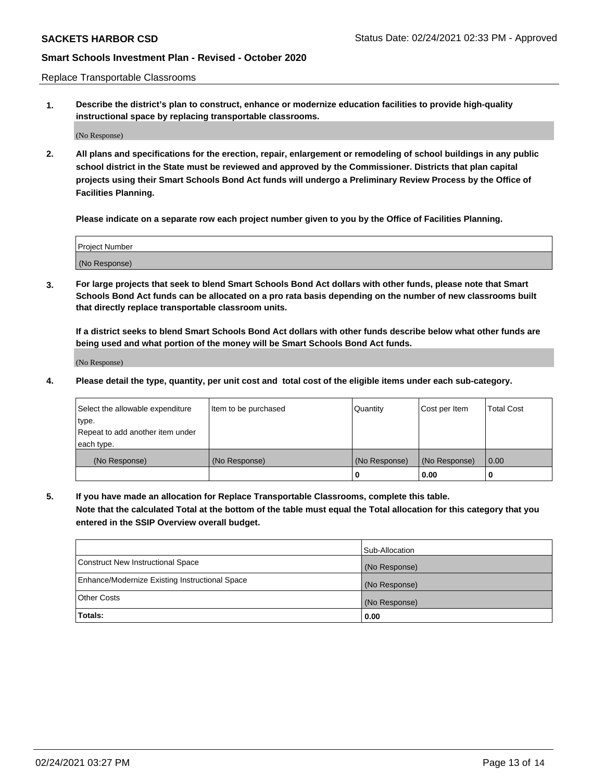Replace Transportable Classrooms

**1. Describe the district's plan to construct, enhance or modernize education facilities to provide high-quality instructional space by replacing transportable classrooms.**

(No Response)

**2. All plans and specifications for the erection, repair, enlargement or remodeling of school buildings in any public school district in the State must be reviewed and approved by the Commissioner. Districts that plan capital projects using their Smart Schools Bond Act funds will undergo a Preliminary Review Process by the Office of Facilities Planning.**

**Please indicate on a separate row each project number given to you by the Office of Facilities Planning.**

| Project Number |  |
|----------------|--|
|                |  |
|                |  |
|                |  |
|                |  |
| (No Response)  |  |
|                |  |
|                |  |
|                |  |

**3. For large projects that seek to blend Smart Schools Bond Act dollars with other funds, please note that Smart Schools Bond Act funds can be allocated on a pro rata basis depending on the number of new classrooms built that directly replace transportable classroom units.**

**If a district seeks to blend Smart Schools Bond Act dollars with other funds describe below what other funds are being used and what portion of the money will be Smart Schools Bond Act funds.**

(No Response)

**4. Please detail the type, quantity, per unit cost and total cost of the eligible items under each sub-category.**

| Select the allowable expenditure | Item to be purchased | Quantity      | Cost per Item | Total Cost |
|----------------------------------|----------------------|---------------|---------------|------------|
| ∣type.                           |                      |               |               |            |
| Repeat to add another item under |                      |               |               |            |
| each type.                       |                      |               |               |            |
| (No Response)                    | (No Response)        | (No Response) | (No Response) | 0.00       |
|                                  |                      | u             | 0.00          |            |

**5. If you have made an allocation for Replace Transportable Classrooms, complete this table. Note that the calculated Total at the bottom of the table must equal the Total allocation for this category that you entered in the SSIP Overview overall budget.**

|                                                | Sub-Allocation |
|------------------------------------------------|----------------|
| Construct New Instructional Space              | (No Response)  |
| Enhance/Modernize Existing Instructional Space | (No Response)  |
| Other Costs                                    | (No Response)  |
| Totals:                                        | 0.00           |